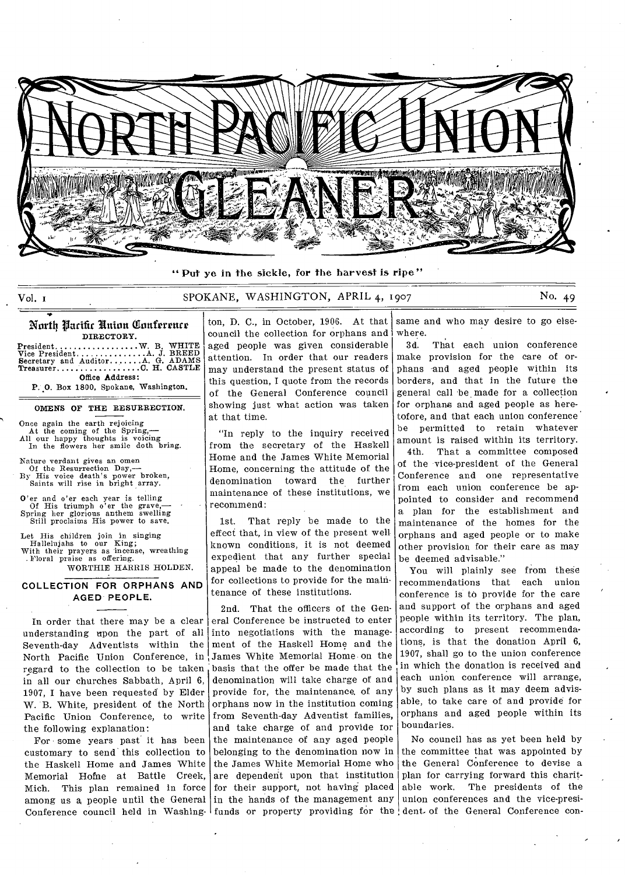

" Put ye in the sickle, for the harvest is ripe"

# Vol. 1 SPOKANE, WASHINGTON, APRIL 4, 1907 No. 49

### North Pacific Union Conference DIRECTORY.

President...........<br>
Vice President........<br>
Secretary and Auditor.<br>
Treasurer............ Office Address: W. B. WHITE<br>.A. J. BREED<br>.A. G. ADAMS<br>C. H. CASTLE

P. O. Box 1800, Spokane, Washington,

#### OMENS OF THE RESURRECTION.

Once again the earth rejoicing At the coming of the Spring,— All our happy thoughts is voicing In the flowers her smile doth bring.

Nature verdant gives an omen Of the Resurrection Day,— By His voice death's power broken, Saints will rise in bright array.

O'er and o'er each year is telling Of His triumph o'er the grave,— Spring her glorious anthem swelling Still proclaims His power to save.

Let His children join in singing Hallelujahs to our King; With their prayers as incense, wreathing . Floral praise as offering. WORTHIE HARRIS HOLDEN.

# **COLLECTION FOR ORPHANS AND AGED PEOPLE.**

In order that there may be a clear understanding upon the part of all Seventh-day Adventists within the North Pacific Union Conference, in regard to the collection to be taken in all our churches Sabbath, April 6, 1907, I have been requested by Elder W. B. White, president of the North Pacific Union Conference, to write the following explanation:

For some years past it has been customary to send this collection to the Haskell Home and James White Memorial Home at Battle Creek, Mich. This plan remained in force among us a people until the General Conference council held in Washing-Ifunds or property providing for the dent. of the General Conference con-

ton, D. C., in October, 1906. At that council the collection for orphans and aged people was given considerable attention. In order that our readers may understand the present status of this question, I quote from the records of the General Conference council showing just what action was taken at that time.

"In reply to the inquiry received from the secretary of the Haskell Home and the James White Memorial Home, concerning the attitude of the denomination toward the further maintenance of these institutions, we recommend:

1st. That reply be made to the effect that, in view of the present well known conditions, it is not deemed expedient that any further special appeal be made to the denomination for collections to provide for the maintenance of these institutions.

2nd. That the officers of the General Conference be instructed to enter into negotiations with the management of the Haskell Home and the James White Memorial Home on the basis that the offer be made that the denomination will take charge of and provide for, the maintenance. of any orphans now in the institution coming from Seventh-day Adventist families, and take charge of and provide tor the maintenance of any aged people belonging to the denomination now in the James White Memorial Home who are dependent upon that institution for their support, not having placed in the hands of the management any

same and who may desire to go elsewhere.

3d. That each union conference make provision for the care of orphans and aged people within its borders, and that in the future the general call be made for a collection for orphans and aged people as heretofore, and that each union conference be permitted to retain whatever amount is raised within its territory.

4th. That a committee composed of the vice-president of the General Conference and one representative from each union conference be appointed to consider and recommend a plan for the establishment and maintenance of the homes for the orphans and aged people or to make other provision for their care as may be deemed advisable."

You will plainly see from these recommendations that each union conference is to provide for the care and support of the orphans and aged people within its territory. The plan, according to present recommendations, is that the donation April 6, 1907, shall go to the union conference in which the donation is received and each union conference will arrange, by such plans as it may deem advisable, to take care of and provide for orphans and aged people within its boundaries.

No council has as yet been held by the committee that was appointed by the General Conference to devise a plan for carrying forward this charit-<br>able work. The presidents of the The presidents of the union conferences and the vice-presi-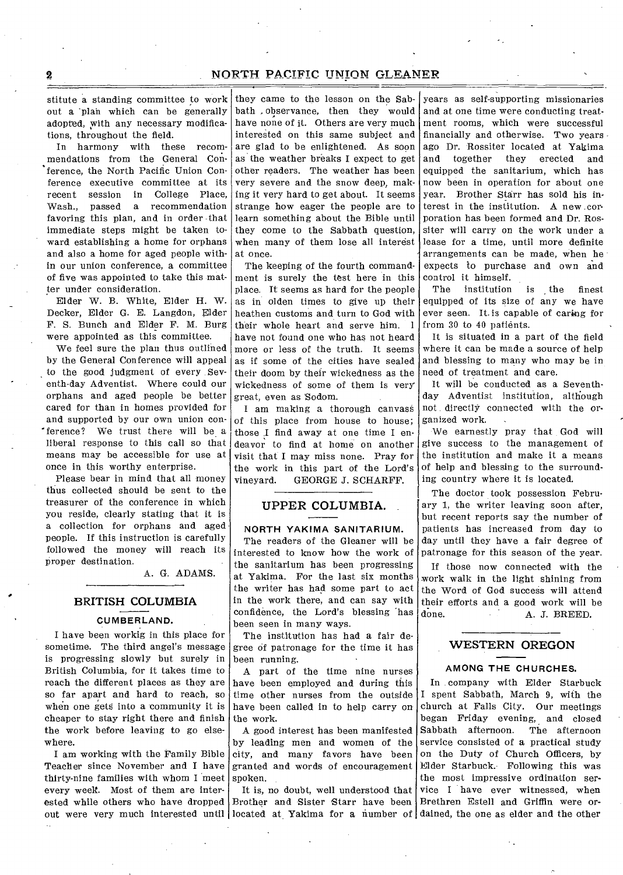# **NORTH PACIFIC UNION GLEANER**

stitute a standing committee to work out a 'plan which can be generally adopted, with any necessary modifications, throughout the field.

In harmony with these recommendations from the General Conference, the North Pacific Union Conference executive committee at its recent session in College Place, Wash., passed a recommendation favoring this plan, and in order -that immediate steps might be taken toward establishing a home for orphans and also a home for aged people within our union conference, a committee of five was appointed to take this matter under consideration.

Elder W. B. White, Elder H. W. Decker, Elder G. E. Langdon, Elder F. S. Bunch and Elder F. M. Burg were appointed as this committee.

We feel sure the plan thus outlined by the General Conference will appeal to the good judgment of every Seventh-day Adventist. Where could our orphans and aged people be better cared for than in homes provided for and supported by our own union conference? We trust there will be a liberal response to this call so that means may be accessible for use at once in this worthy enterprise.

Please bear in mind that all money thus collected should be sent to the treasurer of the conference in which you reside, clearly stating that it is a collection for orphans and aged people. If this instruction is carefully followed the money will reach its proper destination.

A. G. ADAMS.

# **BRITISH COLUMBIA CUMBERLAND.**

I have been workig in this place for sometime. The third angel's message is progressing slowly but surely in British Columbia, for it takes time to reach the different places as they are so far apart and hard to reach, so when one gets into a community it is cheaper to stay right there and finish the work before leaving to go elsewhere.

I am working with the Family Bible Teacher since November and I have thirty-nine families with whom I meet every week. Most of them are interout were very much interested until located at Yakima for a number of dained, the one as elder and the other

they came to the lesson on the Sabbath ,observance, then they would have none of it. Others are very much interested on this same subject and are glad to be enlightened. As soon as the weather breaks I expect to get other readers. The weather has been very severe and the snow deep, making it very hard to get about. It seems strange how eager the people are to learn something about the Bible until they come to the Sabbath question, when many of them lose all interest at once.

The keeping of the fourth commandment is surely the test here in this place. It seems as hard for the people as in olden times to give up their heathen customs and turn to God with their whole heart and serve him. 1 have not found one who has not heard more or less of the truth. It seems as if some of the cities have sealed their doom by their wickedness as the wickedness of some of them is very great, even as 'Sodom.

I am making a thorough canvass of this place from house to house; those I find away at one time I endeavor to find at home on another visit that I may miss none. Pray for the work in this part of the Lord's vineyard. GEORGE J. SCHARFF.

## **UPPER COLUMBIA.**

#### **NORTH** YAKIMA SANITARIUM.

The readers of the Gleaner will be interested to know how the work of the sanitarium has been progressing at Yakima. For the last six months the writer has had some part to act in the work there, and can say with confidence, the Lord's blessing 'has been seen in many ways.

The institution has had a fair degree of patronage for the time it has been running.

A part of the time nine nurses have been employed and during this time other nurses from the outside have been called in to help carry on the work.

A good interest has been manifested by leading men and women of the city, and many favors have been granted and words of encouragement spoken.

It is, no doubt, well understood that

years as self-supporting missionaries and at one time were conducting treatment rooms, which were successful financially and otherwise. Two years ago Dr. Rossiter located at Yakima<br>and together they erected and and together they erected and equipped the sanitarium, which has now been in operation for about one year. Brother Starr has sold his interest in the institution. A new corporation has been formed and Dr. Rossiter will carry on the work under a lease for a time, until more definite arrangements can be made, when he expects to purchase and own and control it himself.

The institution is the finest equipped of its size of any we have ever seen. It. is capable of caring for from 30 to 40 patients.

It is situated in a part of the field where it can be made a source of help and blessing to many who may be in need of treatment and care.

It will be conducted as a Seventhday Adventist institution, although not directly connected with the organized work.

We earnestly pray that God will give success to the management of the institution and make it a means of help and blessing to the surrounding country where it is located.

The doctor took possession February 1, the writer leaving soon after, but recent reports say the number of patients has increased from day to day until they have a fair degree of patronage for this season of the year.

If those now connected with the work walk in the light shining from the Word of God success will attend their efforts and a good work will be<br>done. <br> A. J. BREED. done. A. J. BREED.

## **WESTERN OREGON**

#### **AMONG THE CHURCHES.**

ested while others who have dropped Brother and Sister Starr have been Brethren Estell and Griffin were or-In company with Elder Starbuck I spent Sabbath, March 9, with the church at Falls City. Our meetings began Friday evening, and closed Sabbath afternoon. The afternoon service consisted of a practical study on the Duty of Church Officers, by Elder Starbuck. Following this was the most impressive ordination service I have ever witnessed, when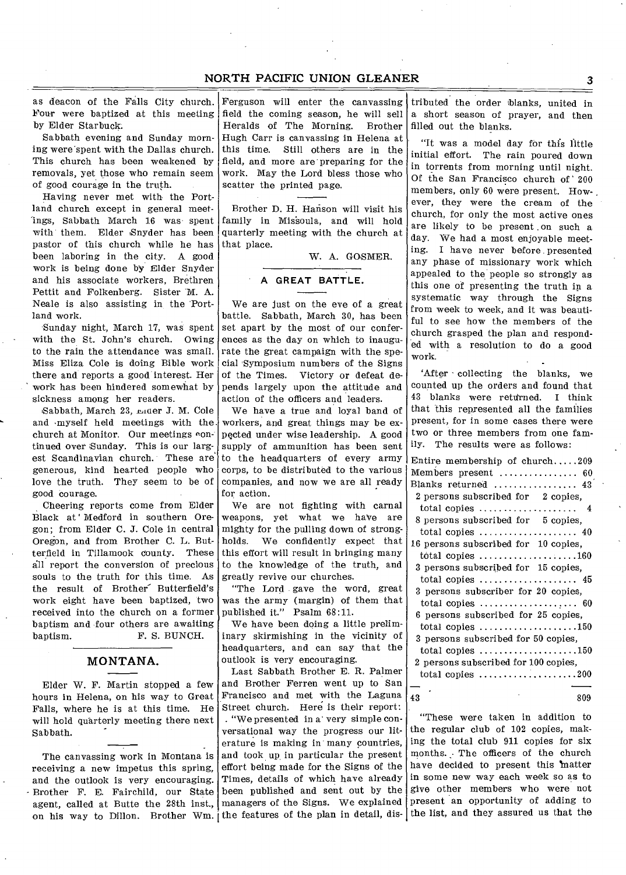# NORTH PACIFIC UNION GLEANER 3

as deacon of the Falls City church. Four were baptized at this meeting by Elder Starbuck.

Sabbath evening and Sunday morning were'spent with the Dallas church. This church has been weakened by removals, yet those who remain seem of good courage in the truth.

Having never met with the Portland church except in general meetings, Sabbath March 16 was spent with them. Elder Snyder has been pastor of this church while he has been laboring in the city. A good work is being done by Elder Snyder and his associate workers, Brethren Pettit and Folkenberg. Sister M. A. Neale is also assisting in the 'Portland work.

Sunday night, March 17, was spent with the St. John's church. Owing to the rain the attendance was small. Miss Eliza Cole is doing Bible work there and reports a good interest. Her work has been hindered somewhat by sickness among her readers.

Sabbath, March 23, Ender J. M. Cole and myself held meetings with the. church at Monitor. Our meetings continned over Sunday. This is our largest Scandinavian church. These are generous, kind hearted people who love the truth. They seem to be of good courage.

Cheering reports come from Elder Black at' Medford in southern Oregon; from Elder C. J. Cole in central Oregon, and from Brother C. L. Butterfield in Tillamook county. These all report the conversion of precious souls to the truth for this time. As the result of Brother Butterfield's work eight have been baptized, two received into the church on a former baptism and four others are awaiting baptism. F. S. BUNCH.

# MONTANA.

Elder W. F. Martin stopped a few hours in Helena, on his way to Great Falls, where he is at this time. He will hold quarterly meeting there next Sabbath.

The canvassing work in Montana is receiving a new impetus this spring, and the outlook is very encouraging. Brother F. E. Fairchild, our State agent, called at Butte the 28th inst., managers of the Signs. We explained on his way to Dillon. Brother Wm. the features of the plan in detail, dis-

Ferguson will enter the canvassing field the coming season, he will sell Heralds of The Morning. Brother Hugh Carr is canvassing in Helena at this time. Still others are in the field, and more are preparing for the work. May the Lord bless those who scatter the printed page.

Brother D. H. Hanson will visit his family in Mis'soula, and will hold quarterly meeting with the church at that place.

W. A. GOSMER.

# **A GREAT BATTLE.**

We are just on the eve of a great battle. Sabbath, March 30, has been set apart by the most of our conferences as the day on which to inaugurate the great campaign with the special Symposium numbers of the Signs of the Times. Victory or defeat depends largely upon the attitude and action of the officers and leaders.

We have a true and loyal band of workers, and great things may be expected under wise leadership. A good supply of ammunition has been sent to the headquarters of every army corps, to be distributed to the various  $\vert \cdot \vert$ companies, and now we are all ready  $\frac{1}{x}$ for action.

We are not fighting with carnal weapons, yet what we haVe are mighty for the pulling down of strongholds. We confidently expect that this effort will result in bringing many to the knowledge of the truth, and greatly revive our churches.

"The Lord gave the word, great was the army (margin) of them that published it." Psalm 68:11.

We have been doing a little preliminary skirmishing in the vicinity of headquarters, and can say that the outlook is very encouraging.

Last Sabbath Brother E. R. Palmer and Brother Ferren went up to San Francisco and met with the Laguna Street church. Here is their report: . "We presented in a' very simple conversational way the progress our literature is making in many countries, and took up, in particular the present effort being made for the Signs of the Times, details of which have already been published and sent out by the

tributed the order blanks, united in a short season of prayer, and then filled out the blanks.

"It was a model day for this little initial effort. The rain poured down in torrents from morning until night. Of the San Francisco church of ' 200 members, only 60 were present. However, they were the cream of the church, for only the most active ones are likely to be present on such a day. We had a most enjoyable meeting. I have never before presented any phase of missionary work which appealed to the people so strongly as this one of presenting the truth in a systematic way through the Signs from week to week, and it was beautiful to see how the members of the church grasped the plan and responded with a resolution to do a good work.

'After - collecting the blanks, we counted up the orders and found that 43 blanks were returned. I think that this represented all the families present, for in some cases there were two or three members from one family. The results were as follows:

| Entire membership of $church209$                             |
|--------------------------------------------------------------|
| Members present  60                                          |
| Blanks returned  43                                          |
| 2 persons subscribed for 2 copies,                           |
| total copies $\ldots, \ldots, \ldots, \ldots, \ldots$        |
| 8 persons subscribed for 5 copies,                           |
| total copies $\ldots \ldots \ldots \ldots \ldots \ldots$ 40  |
| 16 persons subscribed for 10 copies,                         |
| total copies $\ldots \ldots \ldots \ldots \ldots \ldots 160$ |
| 3 persons subscribed for 15 copies,                          |
| total copies $\dots\dots\dots\dots\dots\dots\dots$           |
| 3 persons subscriber for 20 copies,                          |
| total copies $\ldots \ldots \ldots \ldots \ldots \ldots$ 60  |
| 6 persons subscribed for 25 copies,                          |
| total copies $\ldots \ldots \ldots \ldots \ldots \ldots 150$ |
| 3 persons subscribed for 50 copies,                          |
| total copies $\ldots \ldots \ldots \ldots \ldots \ldots 150$ |
| 2 persons subscribed for 100 copies.                         |
| total copies $\ldots, \ldots, \ldots, \ldots, \ldots, 200$   |
|                                                              |
| 809<br>43                                                    |

"These were taken in addition to the regular club of 102 copies, making the total club 911 copies for six months. ; The officers of the church have decided to present this matter in some new way each week so as to give other members who were not present an opportunity of adding to the list, and they assured us that the